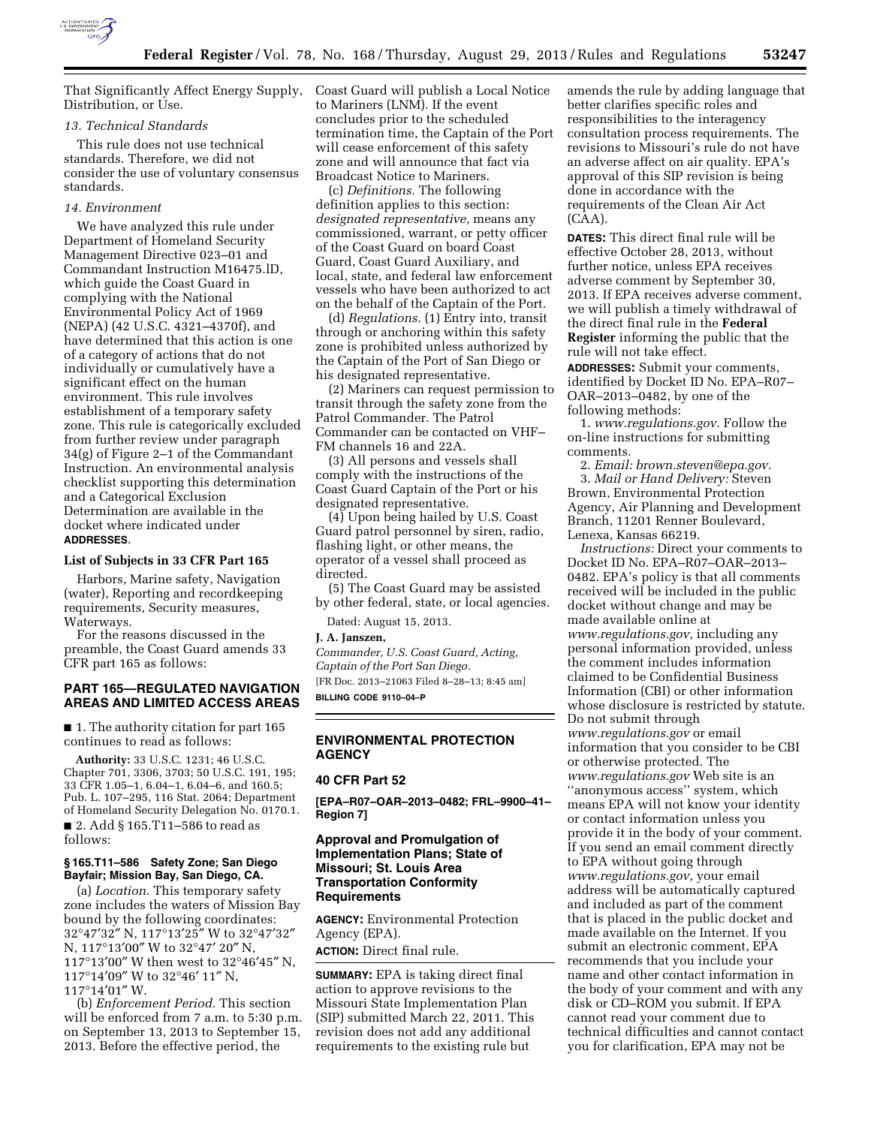

That Significantly Affect Energy Supply, Coast Guard will publish a Local Notice Distribution, or Use.

### *13. Technical Standards*

This rule does not use technical standards. Therefore, we did not consider the use of voluntary consensus standards.

### *14. Environment*

We have analyzed this rule under Department of Homeland Security Management Directive 023–01 and Commandant Instruction M16475.lD, which guide the Coast Guard in complying with the National Environmental Policy Act of 1969 (NEPA) (42 U.S.C. 4321–4370f), and have determined that this action is one of a category of actions that do not individually or cumulatively have a significant effect on the human environment. This rule involves establishment of a temporary safety zone. This rule is categorically excluded from further review under paragraph 34(g) of Figure 2–1 of the Commandant Instruction. An environmental analysis checklist supporting this determination and a Categorical Exclusion Determination are available in the docket where indicated under **ADDRESSES**.

# **List of Subjects in 33 CFR Part 165**

Harbors, Marine safety, Navigation (water), Reporting and recordkeeping requirements, Security measures, Waterways.

For the reasons discussed in the preamble, the Coast Guard amends 33 CFR part 165 as follows:

# **PART 165—REGULATED NAVIGATION AREAS AND LIMITED ACCESS AREAS**

■ 1. The authority citation for part 165 continues to read as follows:

**Authority:** 33 U.S.C. 1231; 46 U.S.C. Chapter 701, 3306, 3703; 50 U.S.C. 191, 195; 33 CFR 1.05–1, 6.04–1, 6.04–6, and 160.5; Pub. L. 107–295, 116 Stat. 2064; Department of Homeland Security Delegation No. 0170.1. ■ 2. Add § 165.T11-586 to read as follows:

### **§ 165.T11–586 Safety Zone; San Diego Bayfair; Mission Bay, San Diego, CA.**

(a) *Location.* This temporary safety zone includes the waters of Mission Bay bound by the following coordinates: 32°47′32″ N, 117°13′25″ W to 32°47′32″ N, 117°13′00″ W to 32°47′ 20″ N, 117°13′00″ W then west to 32°46′45″ N, 117°14′09″ W to 32°46′ 11″ N, 117°14′01″ W.

(b) *Enforcement Period.* This section will be enforced from 7 a.m. to 5:30 p.m. on September 13, 2013 to September 15, 2013. Before the effective period, the

to Mariners (LNM). If the event concludes prior to the scheduled termination time, the Captain of the Port will cease enforcement of this safety zone and will announce that fact via Broadcast Notice to Mariners.

(c) *Definitions.* The following definition applies to this section: *designated representative,* means any commissioned, warrant, or petty officer of the Coast Guard on board Coast Guard, Coast Guard Auxiliary, and local, state, and federal law enforcement vessels who have been authorized to act on the behalf of the Captain of the Port.

(d) *Regulations.* (1) Entry into, transit through or anchoring within this safety zone is prohibited unless authorized by the Captain of the Port of San Diego or his designated representative.

(2) Mariners can request permission to transit through the safety zone from the Patrol Commander. The Patrol Commander can be contacted on VHF– FM channels 16 and 22A.

(3) All persons and vessels shall comply with the instructions of the Coast Guard Captain of the Port or his designated representative.

(4) Upon being hailed by U.S. Coast Guard patrol personnel by siren, radio, flashing light, or other means, the operator of a vessel shall proceed as directed.

(5) The Coast Guard may be assisted by other federal, state, or local agencies.

Dated: August 15, 2013.

**J. A. Janszen,** 

*Commander, U.S. Coast Guard, Acting, Captain of the Port San Diego.*  [FR Doc. 2013–21063 Filed 8–28–13; 8:45 am]

**BILLING CODE 9110–04–P** 

# **ENVIRONMENTAL PROTECTION AGENCY**

# **40 CFR Part 52**

**[EPA–R07–OAR–2013–0482; FRL–9900–41– Region 7]** 

# **Approval and Promulgation of Implementation Plans; State of Missouri; St. Louis Area Transportation Conformity Requirements**

**AGENCY:** Environmental Protection Agency (EPA).

**ACTION:** Direct final rule.

**SUMMARY:** EPA is taking direct final action to approve revisions to the Missouri State Implementation Plan (SIP) submitted March 22, 2011. This revision does not add any additional requirements to the existing rule but

amends the rule by adding language that better clarifies specific roles and responsibilities to the interagency consultation process requirements. The revisions to Missouri's rule do not have an adverse affect on air quality. EPA's approval of this SIP revision is being done in accordance with the requirements of the Clean Air Act (CAA).

**DATES:** This direct final rule will be effective October 28, 2013, without further notice, unless EPA receives adverse comment by September 30, 2013. If EPA receives adverse comment, we will publish a timely withdrawal of the direct final rule in the **Federal Register** informing the public that the rule will not take effect.

**ADDRESSES:** Submit your comments, identified by Docket ID No. EPA–R07– OAR–2013–0482, by one of the following methods:

1. *[www.regulations.gov.](http://www.regulations.gov)* Follow the on-line instructions for submitting comments.

2. *Email: [brown.steven@epa.gov.](mailto:brown.steven@epa.gov)*  3. *Mail or Hand Delivery:* Steven Brown, Environmental Protection Agency, Air Planning and Development Branch, 11201 Renner Boulevard, Lenexa, Kansas 66219.

*Instructions:* Direct your comments to Docket ID No. EPA–R07–OAR–2013– 0482. EPA's policy is that all comments received will be included in the public docket without change and may be made available online at *[www.regulations.gov,](http://www.regulations.gov)* including any personal information provided, unless the comment includes information claimed to be Confidential Business Information (CBI) or other information whose disclosure is restricted by statute. Do not submit through *[www.regulations.gov](http://www.regulations.gov)* or email information that you consider to be CBI or otherwise protected. The *[www.regulations.gov](http://www.regulations.gov)* Web site is an ''anonymous access'' system, which means EPA will not know your identity or contact information unless you provide it in the body of your comment. If you send an email comment directly to EPA without going through *[www.regulations.gov,](http://www.regulations.gov)* your email address will be automatically captured and included as part of the comment that is placed in the public docket and made available on the Internet. If you submit an electronic comment, EPA recommends that you include your name and other contact information in the body of your comment and with any disk or CD–ROM you submit. If EPA cannot read your comment due to technical difficulties and cannot contact you for clarification, EPA may not be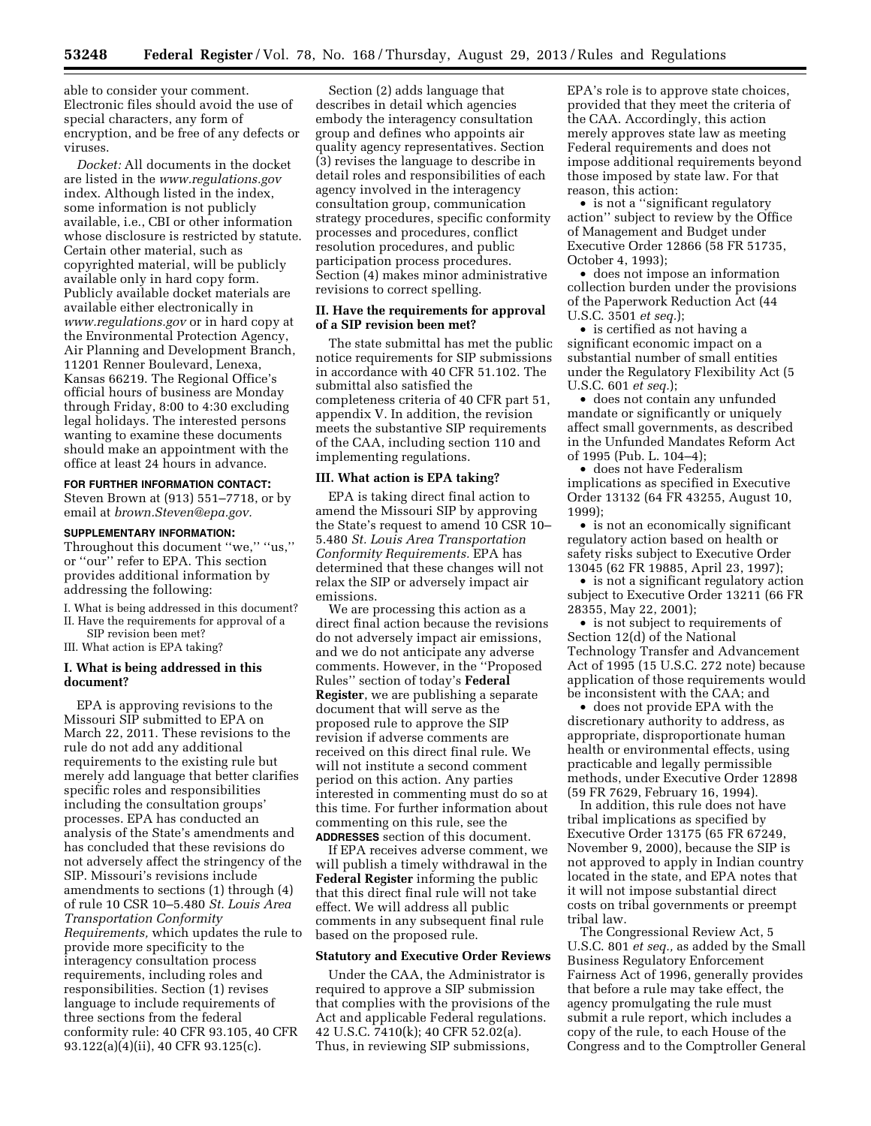able to consider your comment. Electronic files should avoid the use of special characters, any form of encryption, and be free of any defects or viruses.

*Docket:* All documents in the docket are listed in the *[www.regulations.gov](http://www.regulations.gov)*  index. Although listed in the index, some information is not publicly available, i.e., CBI or other information whose disclosure is restricted by statute. Certain other material, such as copyrighted material, will be publicly available only in hard copy form. Publicly available docket materials are available either electronically in *[www.regulations.gov](http://www.regulations.gov)* or in hard copy at the Environmental Protection Agency, Air Planning and Development Branch, 11201 Renner Boulevard, Lenexa, Kansas 66219. The Regional Office's official hours of business are Monday through Friday, 8:00 to 4:30 excluding legal holidays. The interested persons wanting to examine these documents should make an appointment with the office at least 24 hours in advance.

# **FOR FURTHER INFORMATION CONTACT:**

Steven Brown at (913) 551–7718, or by email at *[brown.Steven@epa.gov.](mailto:brown.Steven@epa.gov)* 

# **SUPPLEMENTARY INFORMATION:**

Throughout this document ''we,'' ''us,'' or ''our'' refer to EPA. This section provides additional information by addressing the following:

I. What is being addressed in this document? II. Have the requirements for approval of a SIP revision been met?

III. What action is EPA taking?

# **I. What is being addressed in this document?**

EPA is approving revisions to the Missouri SIP submitted to EPA on March 22, 2011. These revisions to the rule do not add any additional requirements to the existing rule but merely add language that better clarifies specific roles and responsibilities including the consultation groups' processes. EPA has conducted an analysis of the State's amendments and has concluded that these revisions do not adversely affect the stringency of the SIP. Missouri's revisions include amendments to sections (1) through (4) of rule 10 CSR 10–5.480 *St. Louis Area Transportation Conformity Requirements,* which updates the rule to provide more specificity to the interagency consultation process requirements, including roles and responsibilities. Section (1) revises language to include requirements of three sections from the federal conformity rule: 40 CFR 93.105, 40 CFR 93.122(a)(4)(ii), 40 CFR 93.125(c).

Section (2) adds language that describes in detail which agencies embody the interagency consultation group and defines who appoints air quality agency representatives. Section (3) revises the language to describe in detail roles and responsibilities of each agency involved in the interagency consultation group, communication strategy procedures, specific conformity processes and procedures, conflict resolution procedures, and public participation process procedures. Section (4) makes minor administrative revisions to correct spelling.

### **II. Have the requirements for approval of a SIP revision been met?**

The state submittal has met the public notice requirements for SIP submissions in accordance with 40 CFR 51.102. The submittal also satisfied the completeness criteria of 40 CFR part 51, appendix V. In addition, the revision meets the substantive SIP requirements of the CAA, including section 110 and implementing regulations.

### **III. What action is EPA taking?**

EPA is taking direct final action to amend the Missouri SIP by approving the State's request to amend 10 CSR 10– 5.480 *St. Louis Area Transportation Conformity Requirements.* EPA has determined that these changes will not relax the SIP or adversely impact air emissions.

We are processing this action as a direct final action because the revisions do not adversely impact air emissions, and we do not anticipate any adverse comments. However, in the ''Proposed Rules'' section of today's **Federal Register**, we are publishing a separate document that will serve as the proposed rule to approve the SIP revision if adverse comments are received on this direct final rule. We will not institute a second comment period on this action. Any parties interested in commenting must do so at this time. For further information about commenting on this rule, see the **ADDRESSES** section of this document.

If EPA receives adverse comment, we will publish a timely withdrawal in the **Federal Register** informing the public that this direct final rule will not take effect. We will address all public comments in any subsequent final rule based on the proposed rule.

#### **Statutory and Executive Order Reviews**

Under the CAA, the Administrator is required to approve a SIP submission that complies with the provisions of the Act and applicable Federal regulations. 42 U.S.C. 7410(k); 40 CFR 52.02(a). Thus, in reviewing SIP submissions,

EPA's role is to approve state choices, provided that they meet the criteria of the CAA. Accordingly, this action merely approves state law as meeting Federal requirements and does not impose additional requirements beyond those imposed by state law. For that reason, this action:

 $\bullet\,$  is not a ''significant regulatory action'' subject to review by the Office of Management and Budget under Executive Order 12866 (58 FR 51735, October 4, 1993);

• does not impose an information collection burden under the provisions of the Paperwork Reduction Act (44 U.S.C. 3501 *et seq.*);

• is certified as not having a significant economic impact on a substantial number of small entities under the Regulatory Flexibility Act (5 U.S.C. 601 *et seq.*);

• does not contain any unfunded mandate or significantly or uniquely affect small governments, as described in the Unfunded Mandates Reform Act of 1995 (Pub. L. 104–4);

• does not have Federalism implications as specified in Executive Order 13132 (64 FR 43255, August 10, 1999);

• is not an economically significant regulatory action based on health or safety risks subject to Executive Order 13045 (62 FR 19885, April 23, 1997);

• is not a significant regulatory action subject to Executive Order 13211 (66 FR 28355, May 22, 2001);

• is not subject to requirements of Section 12(d) of the National Technology Transfer and Advancement Act of 1995 (15 U.S.C. 272 note) because application of those requirements would be inconsistent with the CAA; and

• does not provide EPA with the discretionary authority to address, as appropriate, disproportionate human health or environmental effects, using practicable and legally permissible methods, under Executive Order 12898 (59 FR 7629, February 16, 1994).

In addition, this rule does not have tribal implications as specified by Executive Order 13175 (65 FR 67249, November 9, 2000), because the SIP is not approved to apply in Indian country located in the state, and EPA notes that it will not impose substantial direct costs on tribal governments or preempt tribal law.

The Congressional Review Act, 5 U.S.C. 801 *et seq.,* as added by the Small Business Regulatory Enforcement Fairness Act of 1996, generally provides that before a rule may take effect, the agency promulgating the rule must submit a rule report, which includes a copy of the rule, to each House of the Congress and to the Comptroller General